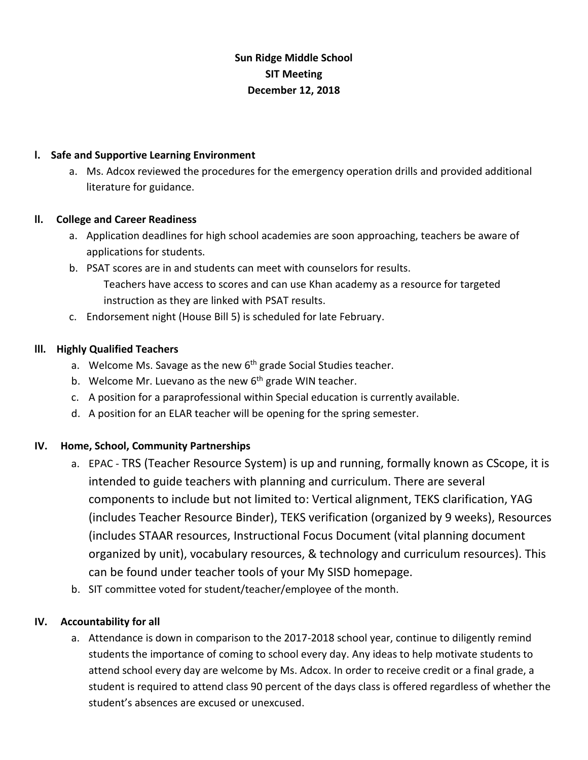# **Sun Ridge Middle School SIT Meeting December 12, 2018**

### **l. Safe and Supportive Learning Environment**

a. Ms. Adcox reviewed the procedures for the emergency operation drills and provided additional literature for guidance.

### **ll. College and Career Readiness**

- a. Application deadlines for high school academies are soon approaching, teachers be aware of applications for students.
- b. PSAT scores are in and students can meet with counselors for results. Teachers have access to scores and can use Khan academy as a resource for targeted instruction as they are linked with PSAT results.
- c. Endorsement night (House Bill 5) is scheduled for late February.

### **lll. Highly Qualified Teachers**

- a. Welcome Ms. Savage as the new  $6<sup>th</sup>$  grade Social Studies teacher.
- b. Welcome Mr. Luevano as the new  $6<sup>th</sup>$  grade WIN teacher.
- c. A position for a paraprofessional within Special education is currently available.
- d. A position for an ELAR teacher will be opening for the spring semester.

## **IV. Home, School, Community Partnerships**

- a. EPAC TRS (Teacher Resource System) is up and running, formally known as CScope, it is intended to guide teachers with planning and curriculum. There are several components to include but not limited to: Vertical alignment, TEKS clarification, YAG (includes Teacher Resource Binder), TEKS verification (organized by 9 weeks), Resources (includes STAAR resources, Instructional Focus Document (vital planning document organized by unit), vocabulary resources, & technology and curriculum resources). This can be found under teacher tools of your My SISD homepage.
- b. SIT committee voted for student/teacher/employee of the month.

### **IV. Accountability for all**

a. Attendance is down in comparison to the 2017-2018 school year, continue to diligently remind students the importance of coming to school every day. Any ideas to help motivate students to attend school every day are welcome by Ms. Adcox. In order to receive credit or a final grade, a student is required to attend class 90 percent of the days class is offered regardless of whether the student's absences are excused or unexcused.